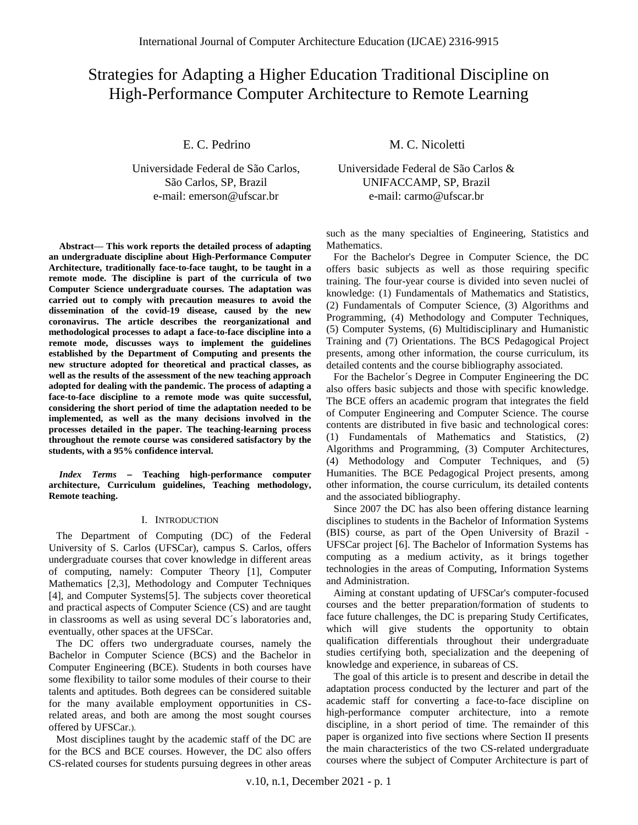# Strategies for Adapting a Higher Education Traditional Discipline on High-Performance Computer Architecture to Remote Learning

E. C. Pedrino

Universidade Federal de São Carlos, São Carlos, SP, Brazil e-mail: emerson@ufscar.br

**Abstract— This work reports the detailed process of adapting an undergraduate discipline about High-Performance Computer Architecture, traditionally face-to-face taught, to be taught in a remote mode. The discipline is part of the curricula of two Computer Science undergraduate courses. The adaptation was carried out to comply with precaution measures to avoid the dissemination of the covid-19 disease, caused by the new coronavirus. The article describes the reorganizational and methodological processes to adapt a face-to-face discipline into a remote mode, discusses ways to implement the guidelines established by the Department of Computing and presents the new structure adopted for theoretical and practical classes, as well as the results of the assessment of the new teaching approach adopted for dealing with the pandemic. The process of adapting a face-to-face discipline to a remote mode was quite successful, considering the short period of time the adaptation needed to be implemented, as well as the many decisions involved in the processes detailed in the paper. The teaching-learning process throughout the remote course was considered satisfactory by the students, with a 95% confidence interval.**

*Index Terms* **Teaching high-performance computer architecture, Curriculum guidelines, Teaching methodology, Remote teaching.**

### I. INTRODUCTION

The Department of Computing (DC) of the Federal University of S. Carlos (UFSCar), campus S. Carlos, offers undergraduate courses that cover knowledge in different areas of computing, namely: Computer Theory [1], Computer Mathematics [2,3], Methodology and Computer Techniques [4], and Computer Systems[5]. The subjects cover theoretical and practical aspects of Computer Science (CS) and are taught in classrooms as well as using several DC´s laboratories and, eventually, other spaces at the UFSCar.

The DC offers two undergraduate courses, namely the Bachelor in Computer Science (BCS) and the Bachelor in Computer Engineering (BCE). Students in both courses have some flexibility to tailor some modules of their course to their talents and aptitudes. Both degrees can be considered suitable for the many available employment opportunities in CSrelated areas, and both are among the most sought courses offered by UFSCar.).

Most disciplines taught by the academic staff of the DC are for the BCS and BCE courses. However, the DC also offers CS-related courses for students pursuing degrees in other areas M. C. Nicoletti

Universidade Federal de São Carlos & UNIFACCAMP, SP, Brazil e-mail: carmo@ufscar.br

such as the many specialties of Engineering, Statistics and Mathematics.

For the Bachelor's Degree in Computer Science, the DC offers basic subjects as well as those requiring specific training. The four-year course is divided into seven nuclei of knowledge: (1) Fundamentals of Mathematics and Statistics, (2) Fundamentals of Computer Science, (3) Algorithms and Programming, (4) Methodology and Computer Techniques, (5) Computer Systems, (6) Multidisciplinary and Humanistic Training and (7) Orientations. The BCS Pedagogical Project presents, among other information, the course curriculum, its detailed contents and the course bibliography associated.

For the Bachelor´s Degree in Computer Engineering the DC also offers basic subjects and those with specific knowledge. The BCE offers an academic program that integrates the field of Computer Engineering and Computer Science. The course contents are distributed in five basic and technological cores: (1) Fundamentals of Mathematics and Statistics, (2) Algorithms and Programming, (3) Computer Architectures, (4) Methodology and Computer Techniques, and (5) Humanities. The BCE Pedagogical Project presents, among other information, the course curriculum, its detailed contents and the associated bibliography.

Since 2007 the DC has also been offering distance learning disciplines to students in the Bachelor of Information Systems (BIS) course, as part of the Open University of Brazil - UFSCar project [6]. The Bachelor of Information Systems has computing as a medium activity, as it brings together technologies in the areas of Computing, Information Systems and Administration.

Aiming at constant updating of UFSCar's computer-focused courses and the better preparation/formation of students to face future challenges, the DC is preparing Study Certificates, which will give students the opportunity to obtain qualification differentials throughout their undergraduate studies certifying both, specialization and the deepening of knowledge and experience, in subareas of CS.

The goal of this article is to present and describe in detail the adaptation process conducted by the lecturer and part of the academic staff for converting a face-to-face discipline on high-performance computer architecture, into a remote discipline, in a short period of time. The remainder of this paper is organized into five sections where Section II presents the main characteristics of the two CS-related undergraduate courses where the subject of Computer Architecture is part of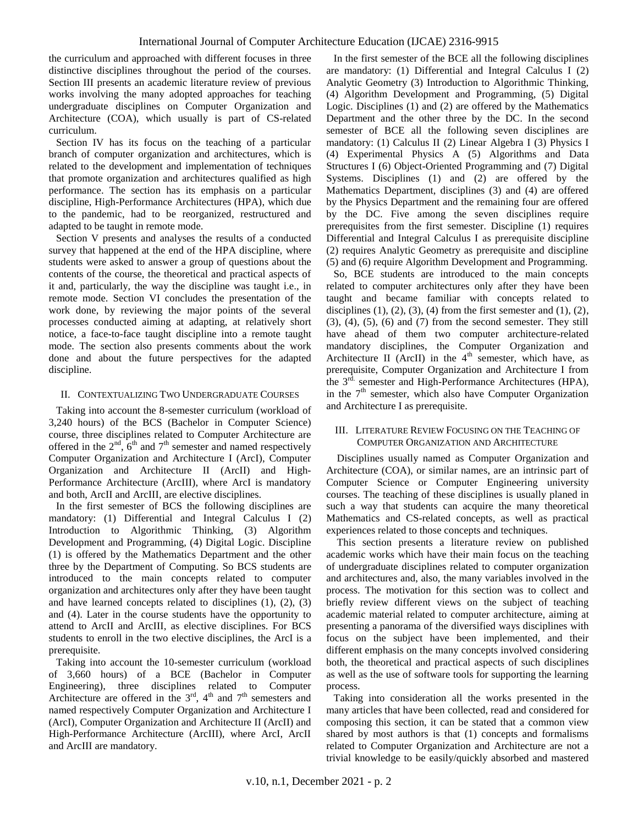the curriculum and approached with different focuses in three distinctive disciplines throughout the period of the courses. Section III presents an academic literature review of previous works involving the many adopted approaches for teaching undergraduate disciplines on Computer Organization and Architecture (COA), which usually is part of CS-related curriculum.

Section IV has its focus on the teaching of a particular branch of computer organization and architectures, which is related to the development and implementation of techniques that promote organization and architectures qualified as high performance. The section has its emphasis on a particular discipline, High-Performance Architectures (HPA), which due to the pandemic, had to be reorganized, restructured and adapted to be taught in remote mode.

Section V presents and analyses the results of a conducted survey that happened at the end of the HPA discipline, where students were asked to answer a group of questions about the contents of the course, the theoretical and practical aspects of it and, particularly, the way the discipline was taught i.e., in remote mode. Section VI concludes the presentation of the work done, by reviewing the major points of the several processes conducted aiming at adapting, at relatively short notice, a face-to-face taught discipline into a remote taught mode. The section also presents comments about the work done and about the future perspectives for the adapted discipline.

# II. CONTEXTUALIZING TWO UNDERGRADUATE COURSES

Taking into account the 8-semester curriculum (workload of 3,240 hours) of the BCS (Bachelor in Computer Science) course, three disciplines related to Computer Architecture are offered in the  $2<sup>nd</sup>$ ,  $6<sup>th</sup>$  and  $7<sup>th</sup>$  semester and named respectively Computer Organization and Architecture I (ArcI), Computer Organization and Architecture II (ArcII) and High-Performance Architecture (ArcIII), where ArcI is mandatory and both, ArcII and ArcIII, are elective disciplines.

In the first semester of BCS the following disciplines are mandatory: (1) Differential and Integral Calculus I (2) Introduction to Algorithmic Thinking, (3) Algorithm Development and Programming, (4) Digital Logic. Discipline (1) is offered by the Mathematics Department and the other three by the Department of Computing. So BCS students are introduced to the main concepts related to computer organization and architectures only after they have been taught and have learned concepts related to disciplines (1), (2), (3) and (4). Later in the course students have the opportunity to attend to ArcII and ArcIII, as elective disciplines. For BCS students to enroll in the two elective disciplines, the ArcI is a prerequisite.

Taking into account the 10-semester curriculum (workload of 3,660 hours) of a BCE (Bachelor in Computer Engineering), three disciplines related to Computer Architecture are offered in the  $3<sup>rd</sup>$ ,  $4<sup>th</sup>$  and  $7<sup>th</sup>$  semesters and named respectively Computer Organization and Architecture I (ArcI), Computer Organization and Architecture II (ArcII) and High-Performance Architecture (ArcIII), where ArcI, ArcII and ArcIII are mandatory.

In the first semester of the BCE all the following disciplines are mandatory: (1) Differential and Integral Calculus I (2) Analytic Geometry (3) Introduction to Algorithmic Thinking, (4) Algorithm Development and Programming, (5) Digital Logic. Disciplines (1) and (2) are offered by the Mathematics Department and the other three by the DC. In the second semester of BCE all the following seven disciplines are mandatory: (1) Calculus II (2) Linear Algebra I (3) Physics I (4) Experimental Physics A (5) Algorithms and Data Structures I (6) Object-Oriented Programming and (7) Digital Systems. Disciplines (1) and (2) are offered by the Mathematics Department, disciplines (3) and (4) are offered by the Physics Department and the remaining four are offered by the DC. Five among the seven disciplines require prerequisites from the first semester. Discipline (1) requires Differential and Integral Calculus I as prerequisite discipline (2) requires Analytic Geometry as prerequisite and discipline (5) and (6) require Algorithm Development and Programming.

So, BCE students are introduced to the main concepts related to computer architectures only after they have been taught and became familiar with concepts related to disciplines  $(1)$ ,  $(2)$ ,  $(3)$ ,  $(4)$  from the first semester and  $(1)$ ,  $(2)$ , (3), (4), (5), (6) and (7) from the second semester. They still have ahead of them two computer architecture-related mandatory disciplines, the Computer Organization and Architecture II (ArcII) in the  $4<sup>th</sup>$  semester, which have, as prerequisite, Computer Organization and Architecture I from the  $3<sup>rd</sup>$  semester and High-Performance Architectures (HPA), in the  $7<sup>th</sup>$  semester, which also have Computer Organization and Architecture I as prerequisite.

## III. LITERATURE REVIEW FOCUSING ON THE TEACHING OF COMPUTER ORGANIZATION AND ARCHITECTURE

Disciplines usually named as Computer Organization and Architecture (COA), or similar names, are an intrinsic part of Computer Science or Computer Engineering university courses. The teaching of these disciplines is usually planed in such a way that students can acquire the many theoretical Mathematics and CS-related concepts, as well as practical experiences related to those concepts and techniques.

This section presents a literature review on published academic works which have their main focus on the teaching of undergraduate disciplines related to computer organization and architectures and, also, the many variables involved in the process. The motivation for this section was to collect and briefly review different views on the subject of teaching academic material related to computer architecture, aiming at presenting a panorama of the diversified ways disciplines with focus on the subject have been implemented, and their different emphasis on the many concepts involved considering both, the theoretical and practical aspects of such disciplines as well as the use of software tools for supporting the learning process.

Taking into consideration all the works presented in the many articles that have been collected, read and considered for composing this section, it can be stated that a common view shared by most authors is that (1) concepts and formalisms related to Computer Organization and Architecture are not a trivial knowledge to be easily/quickly absorbed and mastered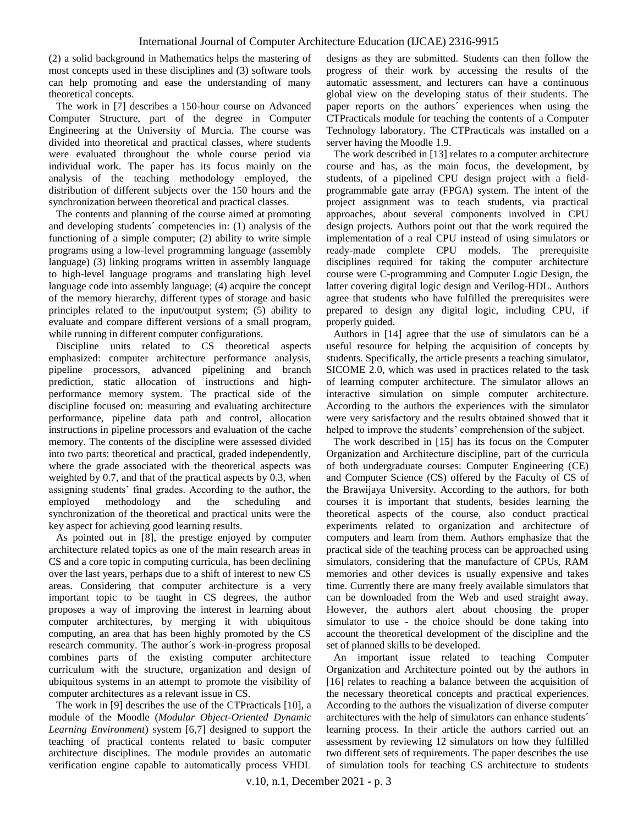(2) a solid background in Mathematics helps the mastering of most concepts used in these disciplines and (3) software tools can help promoting and ease the understanding of many theoretical concepts.

The work in [7] describes a 150-hour course on Advanced Computer Structure, part of the degree in Computer Engineering at the University of Murcia. The course was divided into theoretical and practical classes, where students were evaluated throughout the whole course period via individual work. The paper has its focus mainly on the analysis of the teaching methodology employed, the distribution of different subjects over the 150 hours and the synchronization between theoretical and practical classes.

The contents and planning of the course aimed at promoting and developing students´ competencies in: (1) analysis of the functioning of a simple computer; (2) ability to write simple programs using a low-level programming language (assembly language) (3) linking programs written in assembly language to high-level language programs and translating high level language code into assembly language; (4) acquire the concept of the memory hierarchy, different types of storage and basic principles related to the input/output system; (5) ability to evaluate and compare different versions of a small program, while running in different computer configurations.

Discipline units related to CS theoretical aspects emphasized: computer architecture performance analysis, pipeline processors, advanced pipelining and branch prediction, static allocation of instructions and highperformance memory system. The practical side of the discipline focused on: measuring and evaluating architecture performance, pipeline data path and control, allocation instructions in pipeline processors and evaluation of the cache memory. The contents of the discipline were assessed divided into two parts: theoretical and practical, graded independently, where the grade associated with the theoretical aspects was weighted by 0.7, and that of the practical aspects by 0.3, when assigning students' final grades. According to the author, the employed methodology and the scheduling and synchronization of the theoretical and practical units were the key aspect for achieving good learning results.

As pointed out in [8], the prestige enjoyed by computer architecture related topics as one of the main research areas in CS and a core topic in computing curricula, has been declining over the last years, perhaps due to a shift of interest to new CS areas. Considering that computer architecture is a very important topic to be taught in CS degrees, the author proposes a way of improving the interest in learning about computer architectures, by merging it with ubiquitous computing, an area that has been highly promoted by the CS research community. The author´s work-in-progress proposal combines parts of the existing computer architecture curriculum with the structure, organization and design of ubiquitous systems in an attempt to promote the visibility of computer architectures as a relevant issue in CS.

The work in [9] describes the use of the CTPracticals [10], a module of the Moodle (*Modular Object-Oriented Dynamic Learning Environment*) system [6,7] designed to support the teaching of practical contents related to basic computer architecture disciplines. The module provides an automatic verification engine capable to automatically process VHDL designs as they are submitted. Students can then follow the progress of their work by accessing the results of the automatic assessment, and lecturers can have a continuous global view on the developing status of their students. The paper reports on the authors´ experiences when using the CTPracticals module for teaching the contents of a Computer Technology laboratory. The CTPracticals was installed on a server having the Moodle 1.9.

The work described in [13] relates to a computer architecture course and has, as the main focus, the development, by students, of a pipelined CPU design project with a fieldprogrammable gate array (FPGA) system. The intent of the project assignment was to teach students, via practical approaches, about several components involved in CPU design projects. Authors point out that the work required the implementation of a real CPU instead of using simulators or ready-made complete CPU models. The prerequisite disciplines required for taking the computer architecture course were C-programming and Computer Logic Design, the latter covering digital logic design and Verilog-HDL. Authors agree that students who have fulfilled the prerequisites were prepared to design any digital logic, including CPU, if properly guided.

Authors in [14] agree that the use of simulators can be a useful resource for helping the acquisition of concepts by students. Specifically, the article presents a teaching simulator, SICOME 2.0, which was used in practices related to the task of learning computer architecture. The simulator allows an interactive simulation on simple computer architecture. According to the authors the experiences with the simulator were very satisfactory and the results obtained showed that it helped to improve the students' comprehension of the subject.

The work described in [15] has its focus on the Computer Organization and Architecture discipline, part of the curricula of both undergraduate courses: Computer Engineering (CE) and Computer Science (CS) offered by the Faculty of CS of the Brawijaya University. According to the authors, for both courses it is important that students, besides learning the theoretical aspects of the course, also conduct practical experiments related to organization and architecture of computers and learn from them. Authors emphasize that the practical side of the teaching process can be approached using simulators, considering that the manufacture of CPUs, RAM memories and other devices is usually expensive and takes time. Currently there are many freely available simulators that can be downloaded from the Web and used straight away. However, the authors alert about choosing the proper simulator to use - the choice should be done taking into account the theoretical development of the discipline and the set of planned skills to be developed.

An important issue related to teaching Computer Organization and Architecture pointed out by the authors in [16] relates to reaching a balance between the acquisition of the necessary theoretical concepts and practical experiences. According to the authors the visualization of diverse computer architectures with the help of simulators can enhance students´ learning process. In their article the authors carried out an assessment by reviewing 12 simulators on how they fulfilled two different sets of requirements. The paper describes the use of simulation tools for teaching CS architecture to students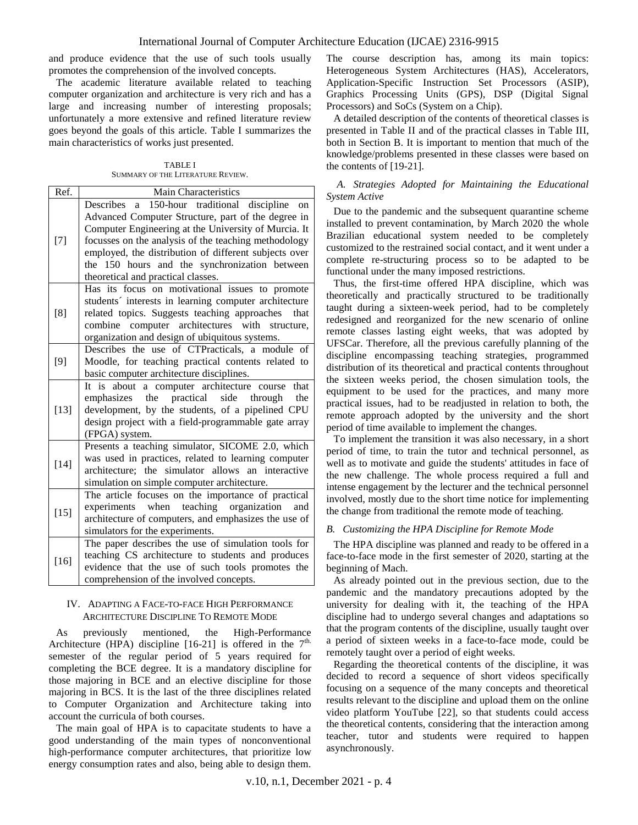and produce evidence that the use of such tools usually promotes the comprehension of the involved concepts.

The academic literature available related to teaching computer organization and architecture is very rich and has a large and increasing number of interesting proposals; unfortunately a more extensive and refined literature review goes beyond the goals of this article. Table I summarizes the main characteristics of works just presented.

TABLE I SUMMARY OF THE LITERATURE REVIEW.

| Ref.   | Main Characteristics                                                                                                                                                                                                                                                                                                                                                       |  |  |  |  |
|--------|----------------------------------------------------------------------------------------------------------------------------------------------------------------------------------------------------------------------------------------------------------------------------------------------------------------------------------------------------------------------------|--|--|--|--|
| $[7]$  | 150-hour traditional discipline<br>Describes a<br>on<br>Advanced Computer Structure, part of the degree in<br>Computer Engineering at the University of Murcia. It<br>focusses on the analysis of the teaching methodology<br>employed, the distribution of different subjects over<br>the 150 hours and the synchronization between<br>theoretical and practical classes. |  |  |  |  |
| [8]    | Has its focus on motivational issues to promote<br>students' interests in learning computer architecture<br>related topics. Suggests teaching approaches<br>that<br>architectures with<br>computer<br>combine<br>structure,<br>organization and design of ubiquitous systems.                                                                                              |  |  |  |  |
| $[9]$  | Describes the use of CTPracticals, a module of<br>Moodle, for teaching practical contents related to<br>basic computer architecture disciplines.                                                                                                                                                                                                                           |  |  |  |  |
| $[13]$ | It is about<br>a computer architecture course<br>that<br>emphasizes the practical side through<br>the<br>development, by the students, of a pipelined CPU<br>design project with a field-programmable gate array<br>(FPGA) system.                                                                                                                                         |  |  |  |  |
| $[14]$ | Presents a teaching simulator, SICOME 2.0, which<br>was used in practices, related to learning computer<br>architecture; the simulator allows an interactive<br>simulation on simple computer architecture.                                                                                                                                                                |  |  |  |  |
| $[15]$ | The article focuses on the importance of practical<br>teaching<br>organization<br>when<br>experiments<br>and<br>architecture of computers, and emphasizes the use of<br>simulators for the experiments.                                                                                                                                                                    |  |  |  |  |
| $[16]$ | The paper describes the use of simulation tools for<br>teaching CS architecture to students and produces<br>evidence that the use of such tools promotes the<br>comprehension of the involved concepts.                                                                                                                                                                    |  |  |  |  |

# IV. ADAPTING A FACE-TO-FACE HIGH PERFORMANCE ARCHITECTURE DISCIPLINE TO REMOTE MODE

As previously mentioned, the High-Performance Architecture (HPA) discipline [16-21] is offered in the  $7<sup>th</sup>$ . semester of the regular period of 5 years required for completing the BCE degree. It is a mandatory discipline for those majoring in BCE and an elective discipline for those majoring in BCS. It is the last of the three disciplines related to Computer Organization and Architecture taking into account the curricula of both courses.

The main goal of HPA is to capacitate students to have a good understanding of the main types of nonconventional high-performance computer architectures, that prioritize low energy consumption rates and also, being able to design them.

The course description has, among its main topics: Heterogeneous System Architectures (HAS), Accelerators, Application-Specific Instruction Set Processors (ASIP), Graphics Processing Units (GPS), DSP (Digital Signal Processors) and SoCs (System on a Chip).

A detailed description of the contents of theoretical classes is presented in Table II and of the practical classes in Table III, both in Section B. It is important to mention that much of the knowledge/problems presented in these classes were based on the contents of [19-21].

# *A. Strategies Adopted for Maintaining the Educational System Active*

Due to the pandemic and the subsequent quarantine scheme installed to prevent contamination, by March 2020 the whole Brazilian educational system needed to be completely customized to the restrained social contact, and it went under a complete re-structuring process so to be adapted to be functional under the many imposed restrictions.

Thus, the first-time offered HPA discipline, which was theoretically and practically structured to be traditionally taught during a sixteen-week period, had to be completely redesigned and reorganized for the new scenario of online remote classes lasting eight weeks, that was adopted by UFSCar. Therefore, all the previous carefully planning of the discipline encompassing teaching strategies, programmed distribution of its theoretical and practical contents throughout the sixteen weeks period, the chosen simulation tools, the equipment to be used for the practices, and many more practical issues, had to be readjusted in relation to both, the remote approach adopted by the university and the short period of time available to implement the changes.

To implement the transition it was also necessary, in a short period of time, to train the tutor and technical personnel, as well as to motivate and guide the students' attitudes in face of the new challenge. The whole process required a full and intense engagement by the lecturer and the technical personnel involved, mostly due to the short time notice for implementing the change from traditional the remote mode of teaching.

# *B. Customizing the HPA Discipline for Remote Mode*

The HPA discipline was planned and ready to be offered in a face-to-face mode in the first semester of 2020, starting at the beginning of Mach.

As already pointed out in the previous section, due to the pandemic and the mandatory precautions adopted by the university for dealing with it, the teaching of the HPA discipline had to undergo several changes and adaptations so that the program contents of the discipline, usually taught over a period of sixteen weeks in a face-to-face mode, could be remotely taught over a period of eight weeks.

Regarding the theoretical contents of the discipline, it was decided to record a sequence of short videos specifically focusing on a sequence of the many concepts and theoretical results relevant to the discipline and upload them on the online video platform YouTube [22], so that students could access the theoretical contents, considering that the interaction among teacher, tutor and students were required to happen asynchronously.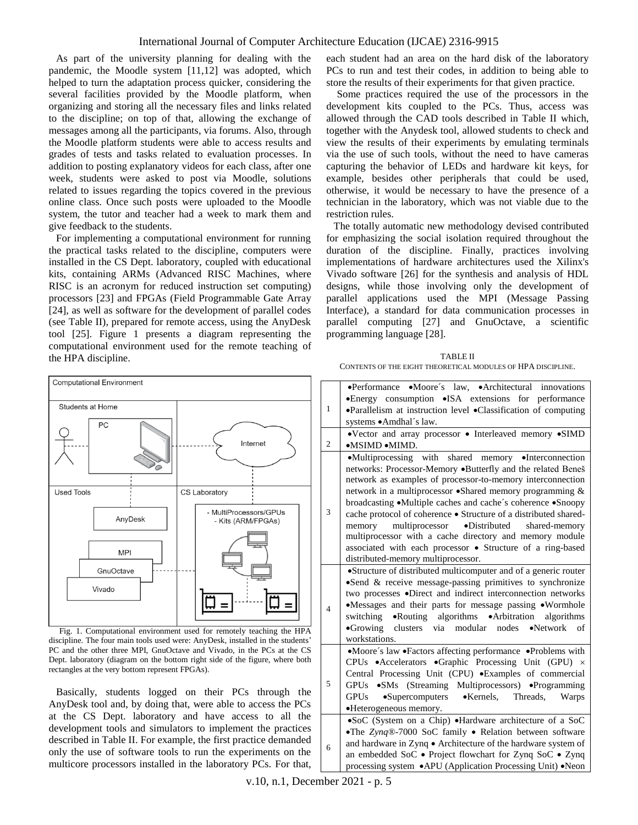As part of the university planning for dealing with the pandemic, the Moodle system [11,12] was adopted, which helped to turn the adaptation process quicker, considering the several facilities provided by the Moodle platform, when organizing and storing all the necessary files and links related to the discipline; on top of that, allowing the exchange of messages among all the participants, via forums. Also, through the Moodle platform students were able to access results and grades of tests and tasks related to evaluation processes. In addition to posting explanatory videos for each class, after one week, students were asked to post via Moodle, solutions related to issues regarding the topics covered in the previous online class. Once such posts were uploaded to the Moodle system, the tutor and teacher had a week to mark them and give feedback to the students.

For implementing a computational environment for running the practical tasks related to the discipline, computers were installed in the CS Dept. laboratory, coupled with educational kits, containing ARMs (Advanced RISC Machines, where RISC is an acronym for [reduced instruction set computing\)](https://en.wikipedia.org/wiki/Reduced_instruction_set_computing) processors [23] and FPGAs (Field Programmable Gate Array [24], as well as software for the development of parallel codes (see Table II), prepared for remote access, using the AnyDesk tool [25]. Figure 1 presents a diagram representing the computational environment used for the remote teaching of the HPA discipline.

each student had an area on the hard disk of the laboratory PCs to run and test their codes, in addition to being able to store the results of their experiments for that given practice.

Some practices required the use of the processors in the development kits coupled to the PCs. Thus, access was allowed through the CAD tools described in Table II which, together with the Anydesk tool, allowed students to check and view the results of their experiments by emulating terminals via the use of such tools, without the need to have cameras capturing the behavior of LEDs and hardware kit keys, for example, besides other peripherals that could be used, otherwise, it would be necessary to have the presence of a technician in the laboratory, which was not viable due to the restriction rules.

The totally automatic new methodology devised contributed for emphasizing the social isolation required throughout the duration of the discipline. Finally, practices involving implementations of hardware architectures used the Xilinx's Vivado software [26] for the synthesis and analysis of HDL designs, while those involving only the development of parallel applications used the MPI (Message Passing Interface), a standard for data communication processes in parallel computing [27] and GnuOctave, a scientific programming language [28].

TABLE II CONTENTS OF THE EIGHT THEORETICAL MODULES OF HPA DISCIPLINE.



Fig. 1. Computational environment used for remotely teaching the HPA discipline. The four main tools used were: AnyDesk, installed in the students' PC and the other three MPI, GnuOctave and Vivado, in the PCs at the CS Dept. laboratory (diagram on the bottom right side of the figure, where both rectangles at the very bottom represent FPGAs).

Basically, students logged on their PCs through the AnyDesk tool and, by doing that, were able to access the PCs at the CS Dept. laboratory and have access to all the development tools and simulators to implement the practices described in Table II. For example, the first practice demanded only the use of software tools to run the experiments on the multicore processors installed in the laboratory PCs. For that,

| $\mathbf{1}$   | •Performance •Moore's law, •Architectural innovations<br>•Energy consumption •ISA extensions for performance<br>•Parallelism at instruction level •Classification of computing<br>systems • Amdhal's law.                                                                                                                                                                                                                                                                                                                                                                                                             |
|----------------|-----------------------------------------------------------------------------------------------------------------------------------------------------------------------------------------------------------------------------------------------------------------------------------------------------------------------------------------------------------------------------------------------------------------------------------------------------------------------------------------------------------------------------------------------------------------------------------------------------------------------|
| $\overline{2}$ | •Vector and array processor • Interleaved memory •SIMD<br>•MSIMD •MIMD.                                                                                                                                                                                                                                                                                                                                                                                                                                                                                                                                               |
| 3              | shared memory •Interconnection<br>$\bullet$ Multiprocessing with<br>networks: Processor-Memory .Butterfly and the related Beneš<br>network as examples of processor-to-memory interconnection<br>network in a multiprocessor •Shared memory programming &<br>broadcasting .Multiple caches and cache's coherence .Snoopy<br>cache protocol of coherence • Structure of a distributed shared-<br>multiprocessor •Distributed<br>memory<br>shared-memory<br>multiprocessor with a cache directory and memory module<br>associated with each processor • Structure of a ring-based<br>distributed-memory multiprocessor. |
| $\overline{4}$ | •Structure of distributed multicomputer and of a generic router<br>$\bullet$ Send & receive message-passing primitives to synchronize<br>two processes •Direct and indirect interconnection networks<br>•Messages and their parts for message passing •Wormhole<br>switching •Routing algorithms •Arbitration<br>algorithms<br>•Growing clusters via modular nodes •Network of<br>workstations.                                                                                                                                                                                                                       |
| 5              | •Moore's law •Factors affecting performance •Problems with<br>CPUs • Accelerators • Graphic Processing Unit (GPU) ×<br>Central Processing Unit (CPU) .Examples of commercial<br>GPUs •SMs (Streaming Multiprocessors) •Programming<br>•Supercomputers •Kernels, Threads, Warps<br><b>GPUs</b><br>•Heterogeneous memory.                                                                                                                                                                                                                                                                                               |
| 6              | •SoC (System on a Chip) •Hardware architecture of a SoC<br>•The Zynq®-7000 SoC family • Relation between software<br>and hardware in Zynq · Architecture of the hardware system of<br>an embedded SoC • Project flowchart for Zynq SoC • Zynq<br>processing system • APU (Application Processing Unit) • Neon                                                                                                                                                                                                                                                                                                         |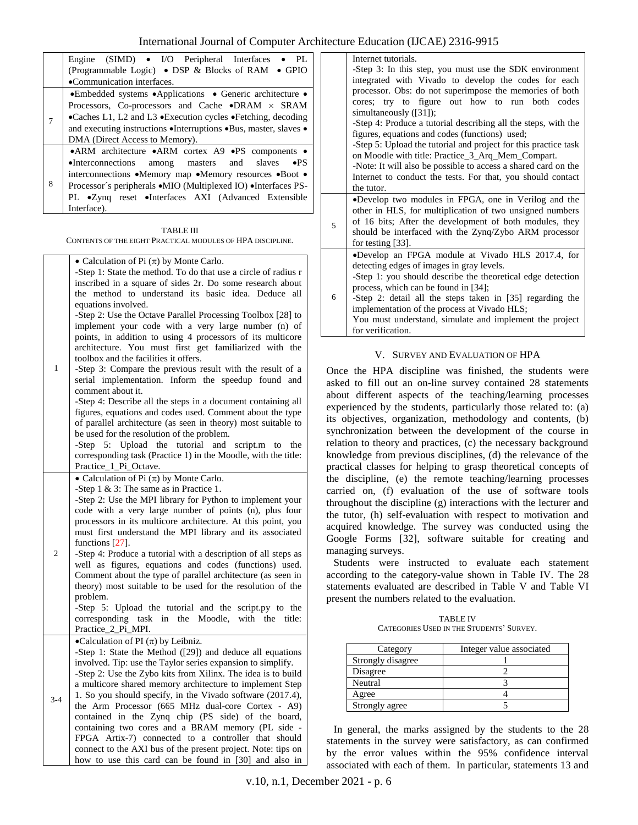|   | Engine (SIMD) • I/O Peripheral Interfaces • PL                     |  |  |  |
|---|--------------------------------------------------------------------|--|--|--|
|   | (Programmable Logic) • DSP & Blocks of RAM • GPIO                  |  |  |  |
|   | •Communication interfaces.                                         |  |  |  |
|   | • Embedded systems • Applications • Generic architecture •         |  |  |  |
|   | Processors, Co-processors and Cache $\bullet$ DRAM $\times$ SRAM   |  |  |  |
|   | •Caches L1, L2 and L3 •Execution cycles •Fetching, decoding        |  |  |  |
|   | and executing instructions . Interruptions . Bus, master, slaves . |  |  |  |
|   | DMA (Direct Access to Memory).                                     |  |  |  |
|   | • ARM architecture • ARM cortex A9 • PS components •               |  |  |  |
|   | $\bullet$ Interconnections among masters and slaves $\bullet$ PS   |  |  |  |
|   | interconnections •Memory map •Memory resources •Boot •             |  |  |  |
| 8 | Processor's peripherals • MIO (Multiplexed IO) • Interfaces PS-    |  |  |  |
|   | PL •Zyng reset •Interfaces AXI (Advanced Extensible                |  |  |  |
|   | Interface).                                                        |  |  |  |

TABLE III CONTENTS OF THE EIGHT PRACTICAL MODULES OF HPA DISCIPLINE.

|                | • Calculation of Pi $(\pi)$ by Monte Carlo.                    |  |  |  |
|----------------|----------------------------------------------------------------|--|--|--|
|                | -Step 1: State the method. To do that use a circle of radius r |  |  |  |
|                | inscribed in a square of sides 2r. Do some research about      |  |  |  |
|                | the method to understand its basic idea. Deduce<br>all         |  |  |  |
|                | equations involved.                                            |  |  |  |
|                | -Step 2: Use the Octave Parallel Processing Toolbox [28] to    |  |  |  |
|                | implement your code with a very large number (n) of            |  |  |  |
|                | points, in addition to using 4 processors of its multicore     |  |  |  |
|                | architecture. You must first get familiarized with the         |  |  |  |
|                | toolbox and the facilities it offers.                          |  |  |  |
| $\mathbf{1}$   | -Step 3: Compare the previous result with the result of a      |  |  |  |
|                | serial implementation. Inform the speedup found and            |  |  |  |
|                | comment about it.                                              |  |  |  |
|                | -Step 4: Describe all the steps in a document containing all   |  |  |  |
|                | figures, equations and codes used. Comment about the type      |  |  |  |
|                | of parallel architecture (as seen in theory) most suitable to  |  |  |  |
|                | be used for the resolution of the problem.                     |  |  |  |
|                | -Step 5: Upload the tutorial<br>and<br>script.m to the         |  |  |  |
|                | corresponding task (Practice 1) in the Moodle, with the title: |  |  |  |
|                | Practice 1 Pi Octave.                                          |  |  |  |
|                | • Calculation of Pi $(\pi)$ by Monte Carlo.                    |  |  |  |
|                | -Step $1 \& 3$ : The same as in Practice 1.                    |  |  |  |
|                | -Step 2: Use the MPI library for Python to implement your      |  |  |  |
|                | code with a very large number of points (n), plus four         |  |  |  |
|                | processors in its multicore architecture. At this point, you   |  |  |  |
|                | must first understand the MPI library and its associated       |  |  |  |
|                | functions [27].                                                |  |  |  |
| $\mathfrak{2}$ | -Step 4: Produce a tutorial with a description of all steps as |  |  |  |
|                | well as figures, equations and codes (functions) used.         |  |  |  |
|                | Comment about the type of parallel architecture (as seen in    |  |  |  |
|                | theory) most suitable to be used for the resolution of the     |  |  |  |
|                | problem.                                                       |  |  |  |
|                | -Step 5: Upload the tutorial and the script.py to the          |  |  |  |
|                | in<br>the Moodle, with the<br>corresponding task<br>title:     |  |  |  |
|                | Practice_2_Pi_MPI.                                             |  |  |  |
|                | •Calculation of PI $(\pi)$ by Leibniz.                         |  |  |  |
|                | -Step 1: State the Method ([29]) and deduce all equations      |  |  |  |
|                | involved. Tip: use the Taylor series expansion to simplify.    |  |  |  |
|                | -Step 2: Use the Zybo kits from Xilinx. The idea is to build   |  |  |  |
|                | a multicore shared memory architecture to implement Step       |  |  |  |
| $3 - 4$        | 1. So you should specify, in the Vivado software (2017.4),     |  |  |  |
|                | the Arm Processor (665 MHz dual-core Cortex - A9)              |  |  |  |
|                | contained in the Zynq chip (PS side) of the board,             |  |  |  |
|                | containing two cores and a BRAM memory (PL side -              |  |  |  |
|                | FPGA Artix-7) connected to a controller that should            |  |  |  |
|                | connect to the AXI bus of the present project. Note: tips on   |  |  |  |
|                | how to use this card can be found in [30] and also in          |  |  |  |

|   | Internet tutorials.                                                          |  |  |  |
|---|------------------------------------------------------------------------------|--|--|--|
|   | -Step 3: In this step, you must use the SDK environment                      |  |  |  |
|   | integrated with Vivado to develop the codes for each                         |  |  |  |
|   | processor. Obs: do not superimpose the memories of both                      |  |  |  |
|   | cores; try to figure out how to run both codes                               |  |  |  |
|   | simultaneously $([31])$ ;                                                    |  |  |  |
|   | -Step 4: Produce a tutorial describing all the steps, with the               |  |  |  |
|   | figures, equations and codes (functions) used;                               |  |  |  |
|   | -Step 5: Upload the tutorial and project for this practice task              |  |  |  |
|   | on Moodle with title: Practice 3 Arq Mem Compart.                            |  |  |  |
|   | -Note: It will also be possible to access a shared card on the               |  |  |  |
|   | Internet to conduct the tests. For that, you should contact                  |  |  |  |
|   | the tutor.                                                                   |  |  |  |
|   | •Develop two modules in FPGA, one in Verilog and the                         |  |  |  |
|   |                                                                              |  |  |  |
|   | other in HLS, for multiplication of two unsigned numbers                     |  |  |  |
| 5 | of 16 bits; After the development of both modules, they                      |  |  |  |
|   | should be interfaced with the Zynq/Zybo ARM processor                        |  |  |  |
|   | for testing [33].                                                            |  |  |  |
|   | •Develop an FPGA module at Vivado HLS 2017.4, for                            |  |  |  |
|   | detecting edges of images in gray levels.                                    |  |  |  |
|   | -Step 1: you should describe the theoretical edge detection                  |  |  |  |
|   | process, which can be found in [34];                                         |  |  |  |
| 6 | -Step 2: detail all the steps taken in [35] regarding the                    |  |  |  |
|   | implementation of the process at Vivado HLS;                                 |  |  |  |
|   | You must understand, simulate and implement the project<br>for verification. |  |  |  |

# V. SURVEY AND EVALUATION OF HPA

Once the HPA discipline was finished, the students were asked to fill out an on-line survey contained 28 statements about different aspects of the teaching/learning processes experienced by the students, particularly those related to: (a) its objectives, organization, methodology and contents, (b) synchronization between the development of the course in relation to theory and practices, (c) the necessary background knowledge from previous disciplines, (d) the relevance of the practical classes for helping to grasp theoretical concepts of the discipline, (e) the remote teaching/learning processes carried on, (f) evaluation of the use of software tools throughout the discipline (g) interactions with the lecturer and the tutor, (h) self-evaluation with respect to motivation and acquired knowledge. The survey was conducted using the Google Forms [32], software suitable for creating and managing surveys.

Students were instructed to evaluate each statement according to the category-value shown in Table IV. The 28 statements evaluated are described in Table V and Table VI present the numbers related to the evaluation.

TABLE IV CATEGORIES USED IN THE STUDENTS' SURVEY.

| Category          | Integer value associated |
|-------------------|--------------------------|
| Strongly disagree |                          |
| Disagree          |                          |
| Neutral           |                          |
| Agree             |                          |
| Strongly agree    |                          |

In general, the marks assigned by the students to the 28 statements in the survey were satisfactory, as can confirmed by the error values within the 95% confidence interval associated with each of them. In particular, statements 13 and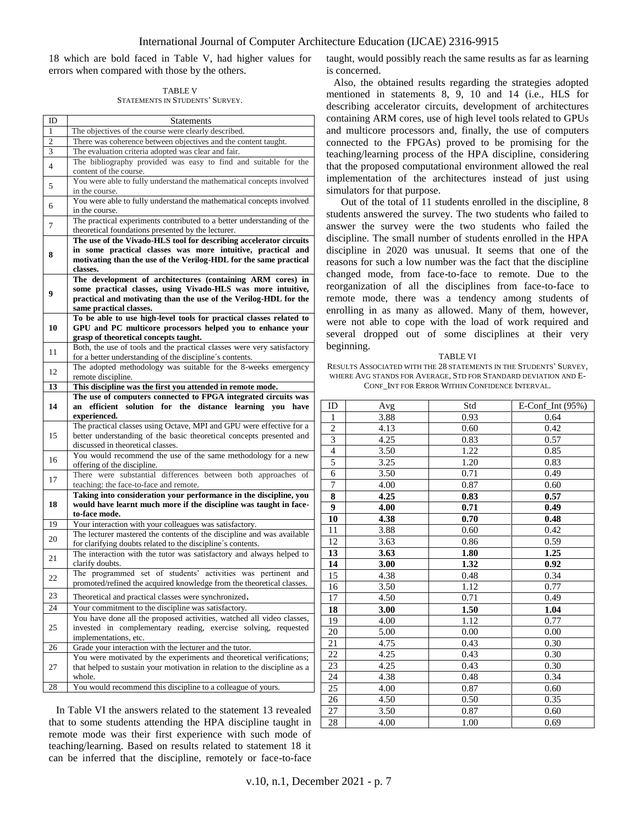18 which are bold faced in Table V, had higher values for errors when compared with those by the others.

TABLE V STATEMENTS IN STUDENTS' SURVEY.

| ID                                                                          | <b>Statements</b>                                                                                                                                 |  |  |  |
|-----------------------------------------------------------------------------|---------------------------------------------------------------------------------------------------------------------------------------------------|--|--|--|
| 1                                                                           | The objectives of the course were clearly described.                                                                                              |  |  |  |
| 2                                                                           | There was coherence between objectives and the content taught.                                                                                    |  |  |  |
| 3                                                                           | The evaluation criteria adopted was clear and fair.                                                                                               |  |  |  |
| 4                                                                           | The bibliography provided was easy to find and suitable for the                                                                                   |  |  |  |
|                                                                             | content of the course.                                                                                                                            |  |  |  |
| 5                                                                           | You were able to fully understand the mathematical concepts involved                                                                              |  |  |  |
|                                                                             | in the course.                                                                                                                                    |  |  |  |
| 6                                                                           | You were able to fully understand the mathematical concepts involved                                                                              |  |  |  |
| in the course.                                                              |                                                                                                                                                   |  |  |  |
| The practical experiments contributed to a better understanding of the<br>7 |                                                                                                                                                   |  |  |  |
|                                                                             | theoretical foundations presented by the lecturer.<br>The use of the Vivado-HLS tool for describing accelerator circuits                          |  |  |  |
|                                                                             | in some practical classes was more intuitive, practical and                                                                                       |  |  |  |
| 8                                                                           | motivating than the use of the Verilog-HDL for the same practical                                                                                 |  |  |  |
|                                                                             | classes.                                                                                                                                          |  |  |  |
|                                                                             | The development of architectures (containing ARM cores) in                                                                                        |  |  |  |
|                                                                             | some practical classes, using Vivado-HLS was more intuitive,                                                                                      |  |  |  |
| 9                                                                           | practical and motivating than the use of the Verilog-HDL for the                                                                                  |  |  |  |
|                                                                             | same practical classes.                                                                                                                           |  |  |  |
|                                                                             | To be able to use high-level tools for practical classes related to                                                                               |  |  |  |
| 10                                                                          | GPU and PC multicore processors helped you to enhance your                                                                                        |  |  |  |
|                                                                             | grasp of theoretical concepts taught.                                                                                                             |  |  |  |
| 11                                                                          | Both, the use of tools and the practical classes were very satisfactory                                                                           |  |  |  |
|                                                                             | for a better understanding of the discipline's contents.                                                                                          |  |  |  |
| 12                                                                          | The adopted methodology was suitable for the 8-weeks emergency                                                                                    |  |  |  |
| 13                                                                          | remote discipline.                                                                                                                                |  |  |  |
|                                                                             | This discipline was the first you attended in remote mode.<br>The use of computers connected to FPGA integrated circuits was                      |  |  |  |
| 14                                                                          | an efficient solution for the distance learning you have                                                                                          |  |  |  |
|                                                                             |                                                                                                                                                   |  |  |  |
|                                                                             | experienced.                                                                                                                                      |  |  |  |
|                                                                             | The practical classes using Octave, MPI and GPU were effective for a                                                                              |  |  |  |
| 15                                                                          | better understanding of the basic theoretical concepts presented and                                                                              |  |  |  |
|                                                                             | discussed in theoretical classes.                                                                                                                 |  |  |  |
|                                                                             | You would recommend the use of the same methodology for a new                                                                                     |  |  |  |
| 16                                                                          | offering of the discipline.                                                                                                                       |  |  |  |
| 17                                                                          | There were substantial differences between both approaches of                                                                                     |  |  |  |
|                                                                             | teaching: the face-to-face and remote.                                                                                                            |  |  |  |
|                                                                             | Taking into consideration your performance in the discipline, you                                                                                 |  |  |  |
| 18                                                                          | would have learnt much more if the discipline was taught in face-                                                                                 |  |  |  |
|                                                                             | to-face mode.                                                                                                                                     |  |  |  |
| 19                                                                          | Your interaction with your colleagues was satisfactory.                                                                                           |  |  |  |
| 20                                                                          | The lecturer mastered the contents of the discipline and was available                                                                            |  |  |  |
|                                                                             | for clarifying doubts related to the discipline's contents.                                                                                       |  |  |  |
| 21                                                                          | The interaction with the tutor was satisfactory and always helped to<br>clarify doubts.                                                           |  |  |  |
|                                                                             | The programmed set of students' activities was pertinent and                                                                                      |  |  |  |
| 22                                                                          | promoted/refined the acquired knowledge from the theoretical classes.                                                                             |  |  |  |
|                                                                             |                                                                                                                                                   |  |  |  |
| 23                                                                          | Theoretical and practical classes were synchronized.                                                                                              |  |  |  |
| 24                                                                          | Your commitment to the discipline was satisfactory.                                                                                               |  |  |  |
|                                                                             | You have done all the proposed activities, watched all video classes,                                                                             |  |  |  |
| 25                                                                          | invested in complementary reading, exercise solving, requested                                                                                    |  |  |  |
|                                                                             | implementations, etc.                                                                                                                             |  |  |  |
| 26                                                                          | Grade your interaction with the lecturer and the tutor.                                                                                           |  |  |  |
| 27                                                                          | You were motivated by the experiments and theoretical verifications;<br>that helped to sustain your motivation in relation to the discipline as a |  |  |  |
|                                                                             | whole.                                                                                                                                            |  |  |  |
| 28                                                                          | You would recommend this discipline to a colleague of yours.                                                                                      |  |  |  |

In Table VI the answers related to the statement 13 revealed that to some students attending the HPA discipline taught in remote mode was their first experience with such mode of teaching/learning. Based on results related to statement 18 it can be inferred that the discipline, remotely or face-to-face

taught, would possibly reach the same results as far as learning is concerned.

Also, the obtained results regarding the strategies adopted mentioned in statements 8, 9, 10 and 14 (i.e., HLS for describing accelerator circuits, development of architectures containing ARM cores, use of high level tools related to GPUs and multicore processors and, finally, the use of computers connected to the FPGAs) proved to be promising for the teaching/learning process of the HPA discipline, considering that the proposed computational environment allowed the real implementation of the architectures instead of just using simulators for that purpose.

Out of the total of 11 students enrolled in the discipline, 8 students answered the survey. The two students who failed to answer the survey were the two students who failed the discipline. The small number of students enrolled in the HPA discipline in 2020 was unusual. It seems that one of the reasons for such a low number was the fact that the discipline changed mode, from face-to-face to remote. Due to the reorganization of all the disciplines from face-to-face to remote mode, there was a tendency among students of enrolling in as many as allowed. Many of them, however, were not able to cope with the load of work required and several dropped out of some disciplines at their very beginning.

#### TABLE VI

RESULTS ASSOCIATED WITH THE 28 STATEMENTS IN THE STUDENTS' SURVEY, WHERE AVG STANDS FOR AVERAGE, STD FOR STANDARD DEVIATION AND E-CONF\_INT FOR ERROR WITHIN CONFIDENCE INTERVAL.

| ID             | Avg  | Std  | E-Conf Int $(95%)$ |
|----------------|------|------|--------------------|
| 1              | 3.88 | 0.93 | 0.64               |
| $\overline{c}$ | 4.13 | 0.60 | 0.42               |
| $\overline{3}$ | 4.25 | 0.83 | 0.57               |
| $\overline{4}$ | 3.50 | 1.22 | 0.85               |
| 5              | 3.25 | 1.20 | 0.83               |
| $\overline{6}$ | 3.50 | 0.71 | 0.49               |
| 7              | 4.00 | 0.87 | 0.60               |
| 8              | 4.25 | 0.83 | 0.57               |
| 9              | 4.00 | 0.71 | 0.49               |
| 10             | 4.38 | 0.70 | 0.48               |
| 11             | 3.88 | 0.60 | 0.42               |
| 12             | 3.63 | 0.86 | 0.59               |
| 13             | 3.63 | 1.80 | 1.25               |
| 14             | 3.00 | 1.32 | 0.92               |
| 15             | 4.38 | 0.48 | 0.34               |
| 16             | 3.50 | 1.12 | 0.77               |
| 17             | 4.50 | 0.71 | 0.49               |
| 18             | 3.00 | 1.50 | 1.04               |
| 19             | 4.00 | 1.12 | 0.77               |
| 20             | 5.00 | 0.00 | 0.00               |
| 21             | 4.75 | 0.43 | 0.30               |
| 22             | 4.25 | 0.43 | 0.30               |
| 23             | 4.25 | 0.43 | 0.30               |
| 24             | 4.38 | 0.48 | 0.34               |
| 25             | 4.00 | 0.87 | 0.60               |
| 26             | 4.50 | 0.50 | 0.35               |
| 27             | 3.50 | 0.87 | 0.60               |
| 28             | 4.00 | 1.00 | 0.69               |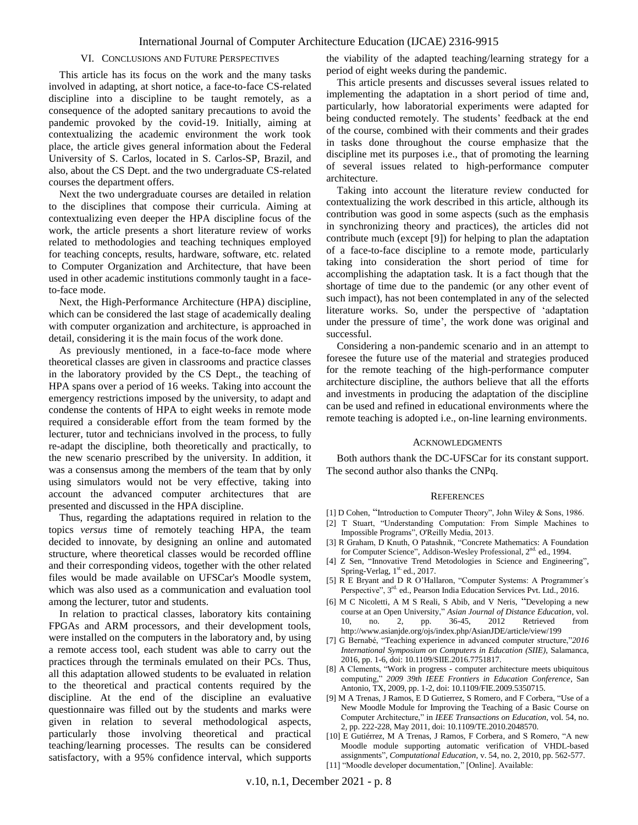### VI. CONCLUSIONS AND FUTURE PERSPECTIVES

This article has its focus on the work and the many tasks involved in adapting, at short notice, a face-to-face CS-related discipline into a discipline to be taught remotely, as a consequence of the adopted sanitary precautions to avoid the pandemic provoked by the covid-19. Initially, aiming at contextualizing the academic environment the work took place, the article gives general information about the Federal University of S. Carlos, located in S. Carlos-SP, Brazil, and also, about the CS Dept. and the two undergraduate CS-related courses the department offers.

Next the two undergraduate courses are detailed in relation to the disciplines that compose their curricula. Aiming at contextualizing even deeper the HPA discipline focus of the work, the article presents a short literature review of works related to methodologies and teaching techniques employed for teaching concepts, results, hardware, software, etc. related to Computer Organization and Architecture, that have been used in other academic institutions commonly taught in a faceto-face mode.

Next, the High-Performance Architecture (HPA) discipline, which can be considered the last stage of academically dealing with computer organization and architecture, is approached in detail, considering it is the main focus of the work done.

As previously mentioned, in a face-to-face mode where theoretical classes are given in classrooms and practice classes in the laboratory provided by the CS Dept., the teaching of HPA spans over a period of 16 weeks. Taking into account the emergency restrictions imposed by the university, to adapt and condense the contents of HPA to eight weeks in remote mode required a considerable effort from the team formed by the lecturer, tutor and technicians involved in the process, to fully re-adapt the discipline, both theoretically and practically, to the new scenario prescribed by the university. In addition, it was a consensus among the members of the team that by only using simulators would not be very effective, taking into account the advanced computer architectures that are presented and discussed in the HPA discipline.

Thus, regarding the adaptations required in relation to the topics *versus* time of remotely teaching HPA, the team decided to innovate, by designing an online and automated structure, where theoretical classes would be recorded offline and their corresponding videos, together with the other related files would be made available on UFSCar's Moodle system, which was also used as a communication and evaluation tool among the lecturer, tutor and students.

In relation to practical classes, laboratory kits containing FPGAs and ARM processors, and their development tools, were installed on the computers in the laboratory and, by using a remote access tool, each student was able to carry out the practices through the terminals emulated on their PCs. Thus, all this adaptation allowed students to be evaluated in relation to the theoretical and practical contents required by the discipline. At the end of the discipline an evaluative questionnaire was filled out by the students and marks were given in relation to several methodological aspects, particularly those involving theoretical and practical teaching/learning processes. The results can be considered satisfactory, with a 95% confidence interval, which supports the viability of the adapted teaching/learning strategy for a period of eight weeks during the pandemic.

This article presents and discusses several issues related to implementing the adaptation in a short period of time and, particularly, how laboratorial experiments were adapted for being conducted remotely. The students' feedback at the end of the course, combined with their comments and their grades in tasks done throughout the course emphasize that the discipline met its purposes i.e., that of promoting the learning of several issues related to high-performance computer architecture.

Taking into account the literature review conducted for contextualizing the work described in this article, although its contribution was good in some aspects (such as the emphasis in synchronizing theory and practices), the articles did not contribute much (except [9]) for helping to plan the adaptation of a face-to-face discipline to a remote mode, particularly taking into consideration the short period of time for accomplishing the adaptation task. It is a fact though that the shortage of time due to the pandemic (or any other event of such impact), has not been contemplated in any of the selected literature works. So, under the perspective of 'adaptation under the pressure of time', the work done was original and successful.

Considering a non-pandemic scenario and in an attempt to foresee the future use of the material and strategies produced for the remote teaching of the high-performance computer architecture discipline, the authors believe that all the efforts and investments in producing the adaptation of the discipline can be used and refined in educational environments where the remote teaching is adopted i.e., on-line learning environments.

#### **ACKNOWLEDGMENTS**

Both authors thank the DC-UFSCar for its constant support. The second author also thanks the CNPq.

#### **REFERENCES**

- [1] D Cohen, "Introduction to Computer Theory", John Wiley & Sons, 1986.
- [2] T Stuart, "Understanding Computation: From Simple Machines to Impossible Programs", O'Reilly Media, 2013.
- [3] R Graham, D Knuth, O Patashnik, "Concrete Mathematics: A Foundation for Computer Science", Addison-Wesley Professional, 2<sup>nd.</sup> ed., 1994.
- [4] Z Sen, "Innovative Trend Metodologies in Science and Engineering", Spring-Verlag, 1st. ed., 2017.
- [5] R E Bryant and D R O'Hallaron, "Computer Systems: A Programmer´s Perspective", 3<sup>rd.</sup> ed., Pearson India Education Services Pvt. Ltd., 2016.
- [6] M C Nicoletti, A M S Reali, S Abib, and V Neris, "Developing a new course at an Open University," *Asian Journal of Distance Education*, vol. 10, no. 2, pp. 36-45, 2012 Retrieved from http://www.asianjde.org/ojs/index.php/AsianJDE/article/view/199
- [7] G Bernabé, "Teaching experience in advanced computer structure,"*2016 International Symposium on Computers in Education (SIIE)*, Salamanca, 2016, pp. 1-6, doi: 10.1109/SIIE.2016.7751817.
- [8] A Clements, "Work in progress computer architecture meets ubiquitous computing," *2009 39th IEEE Frontiers in Education Conference*, San Antonio, TX, 2009, pp. 1-2, doi: 10.1109/FIE.2009.5350715.
- [9] M A Trenas, J Ramos, E D Gutierrez, S Romero, and F Corbera, "Use of a New Moodle Module for Improving the Teaching of a Basic Course on Computer Architecture," in *IEEE Transactions on Education*, vol. 54, no. 2, pp. 222-228, May 2011, doi: 10.1109/TE.2010.2048570.
- [10] E Gutiérrez, M A Trenas, J Ramos, F Corbera, and S Romero, "A new Moodle module supporting automatic verification of VHDL-based assignments", *Computational Education*, v. 54, no. 2, 2010, pp. 562-577.
- [11] "Moodle developer documentation," [Online]. Available: